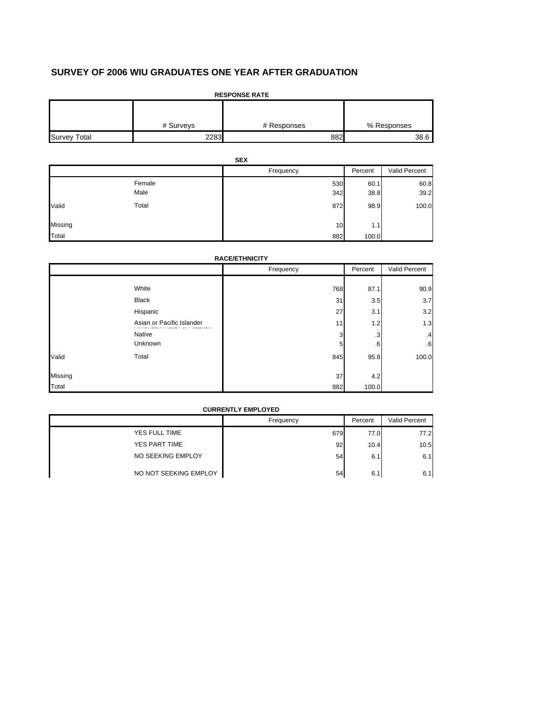# **SURVEY OF 2006 WIU GRADUATES ONE YEAR AFTER GRADUATION**

| <b>RESPONSE RATE</b> |           |             |             |  |  |  |
|----------------------|-----------|-------------|-------------|--|--|--|
|                      |           |             |             |  |  |  |
|                      | # Surveys | # Responses | % Responses |  |  |  |
| <b>Survey Total</b>  | 2283      | 882         | 38.6        |  |  |  |

|         | <b>SEX</b>     |            |              |               |  |
|---------|----------------|------------|--------------|---------------|--|
|         |                | Frequency  | Percent      | Valid Percent |  |
|         | Female<br>Male | 530<br>342 | 60.1<br>38.8 | 60.8<br>39.2  |  |
| Valid   | Total          | 872        | 98.9         | 100.0         |  |
| Missing |                | 10         | 1.1          |               |  |
| Total   |                | 882        | 100.0        |               |  |

| <b>RACE/ETHNICITY</b> |  |
|-----------------------|--|

|         |                           | Frequency | Percent | Valid Percent |
|---------|---------------------------|-----------|---------|---------------|
|         | White                     | 768       | 87.1    | 90.9          |
|         | <b>Black</b>              | 31        | 3.5     | 3.7           |
|         | Hispanic                  | 27        | 3.1     | 3.2           |
|         | Asian or Pacific Islander | 11        | 1.2     | 1.3           |
|         | Native                    | 3         | .3      | .4            |
|         | Unknown                   | 5         | .6      | $6 \cdot$     |
| Valid   | Total                     | 845       | 95.8    | 100.0         |
| Missing |                           | 37        | 4.2     |               |
| Total   |                           | 882       | 100.0   |               |

| <b>CURRENTLY EMPLOYED</b> |           |         |               |  |
|---------------------------|-----------|---------|---------------|--|
|                           | Frequency | Percent | Valid Percent |  |
| YES FULL TIME             | 679       | 77.0    | 77.2          |  |
| YES PART TIME             | 92        | 10.4    | 10.5          |  |
| NO SEEKING EMPLOY         | 54        | 6.1     | 6.1           |  |
| NO NOT SEEKING EMPLOY     | 54        | 6.1     | 6.1           |  |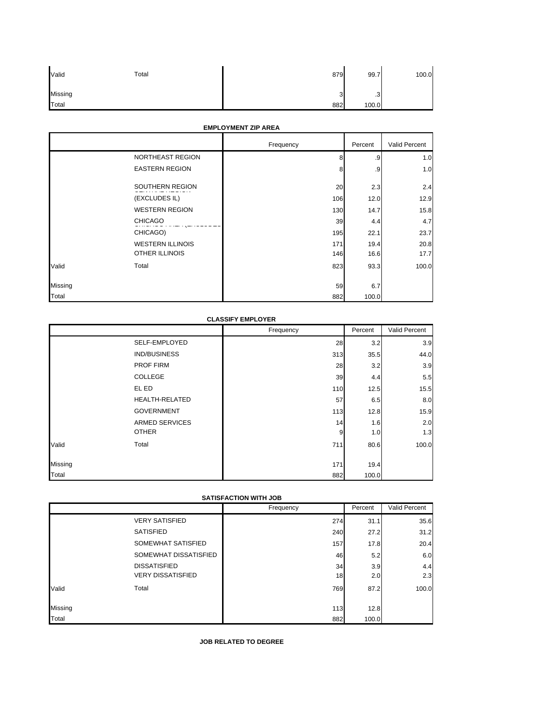| Valid   | Total | 879    | 99.7      | 100.0 |
|---------|-------|--------|-----------|-------|
| Missing |       | R<br>ر | $\cdot$ 3 |       |
| Total   |       | 882    | 100.0     |       |

## **EMPLOYMENT ZIP AREA**

|         | EMPLOYMENT ZIP AREA     |           |         |               |  |
|---------|-------------------------|-----------|---------|---------------|--|
|         |                         | Frequency | Percent | Valid Percent |  |
|         | NORTHEAST REGION        | 8         | .9      | 1.0           |  |
|         | <b>EASTERN REGION</b>   | 8         | .9      | 1.0           |  |
|         | SOUTHERN REGION         | 20        | 2.3     | 2.4           |  |
|         | (EXCLUDES IL)           | 106       | 12.0    | 12.9          |  |
|         | <b>WESTERN REGION</b>   | 130       | 14.7    | 15.8          |  |
|         | <b>CHICAGO</b>          | 39        | 4.4     | 4.7           |  |
|         | CHICAGO)                | 195       | 22.1    | 23.7          |  |
|         | <b>WESTERN ILLINOIS</b> | 171       | 19.4    | 20.8          |  |
|         | <b>OTHER ILLINOIS</b>   | 146       | 16.6    | 17.7          |  |
| Valid   | Total                   | 823       | 93.3    | 100.0         |  |
| Missing |                         | 59        | 6.7     |               |  |
| Total   |                         | 882       | 100.0   |               |  |

### **CLASSIFY EMPLOYER**

|         |                       | Frequency | Percent | Valid Percent |
|---------|-----------------------|-----------|---------|---------------|
|         | SELF-EMPLOYED         | 28        | 3.2     | 3.9           |
|         | <b>IND/BUSINESS</b>   | 313       | 35.5    | 44.0          |
|         | <b>PROF FIRM</b>      | 28        | 3.2     | 3.9           |
|         | COLLEGE               | 39        | 4.4     | 5.5           |
|         | EL ED                 | 110       | 12.5    | 15.5          |
|         | <b>HEALTH-RELATED</b> | 57        | 6.5     | 8.0           |
|         | <b>GOVERNMENT</b>     | 113       | 12.8    | 15.9          |
|         | <b>ARMED SERVICES</b> | 14        | 1.6     | 2.0           |
|         | <b>OTHER</b>          | 9         | 1.0     | 1.3           |
| Valid   | Total                 | 711       | 80.6    | 100.0         |
|         |                       |           |         |               |
| Missing |                       | 171       | 19.4    |               |
| Total   |                       | 882       | 100.0   |               |

## **SATISFACTION WITH JOB**

|         |                          | Frequency | Percent | Valid Percent |
|---------|--------------------------|-----------|---------|---------------|
|         | <b>VERY SATISFIED</b>    | 274       | 31.1    | 35.6          |
|         | <b>SATISFIED</b>         | 240       | 27.2    | 31.2          |
|         | SOMEWHAT SATISFIED       | 157       | 17.8    | 20.4          |
|         | SOMEWHAT DISSATISFIED    | 46        | 5.2     | 6.0           |
|         | <b>DISSATISFIED</b>      | 34        | 3.9     | 4.4           |
|         | <b>VERY DISSATISFIED</b> | 18        | 2.0     | 2.3           |
| Valid   | Total                    | 769       | 87.2    | 100.0         |
| Missing |                          | 113       | 12.8    |               |
| Total   |                          | 882       | 100.0   |               |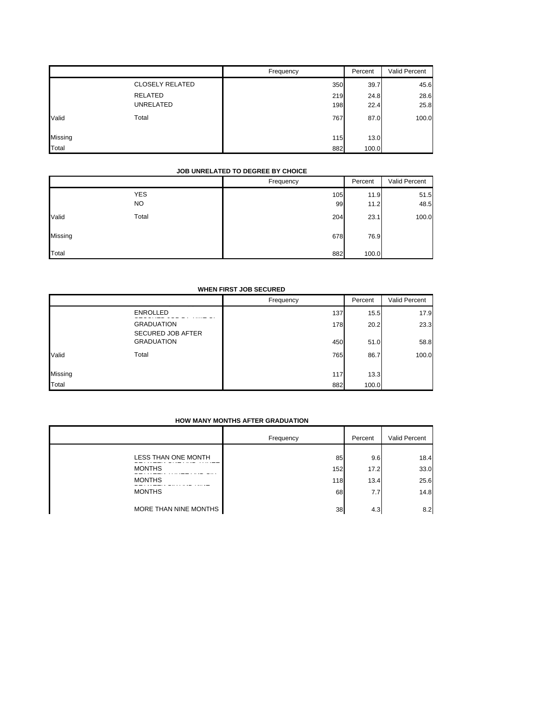|         |                        | Frequency | Percent | Valid Percent |
|---------|------------------------|-----------|---------|---------------|
|         | <b>CLOSELY RELATED</b> | 350       | 39.7    | 45.6          |
|         | <b>RELATED</b>         | 219       | 24.8    | 28.6          |
|         | <b>UNRELATED</b>       | 198       | 22.4    | 25.8          |
| Valid   | Total                  | 767       | 87.0    | 100.0         |
|         |                        |           |         |               |
| Missing |                        | 115       | 13.0    |               |
| Total   |                        | 882       | 100.0   |               |

### **JOB UNRELATED TO DEGREE BY CHOICE**

|         |                         | Frequency | Percent      | Valid Percent |
|---------|-------------------------|-----------|--------------|---------------|
|         | <b>YES</b><br><b>NO</b> | 105<br>99 | 11.9<br>11.2 | 51.5<br>48.5  |
| Valid   | Total                   | 204       | 23.1         | 100.0         |
| Missing |                         | 678       | 76.9         |               |
| Total   |                         | 882       | 100.0        |               |

### **WHEN FIRST JOB SECURED**

|         |                          | Frequency | Percent | Valid Percent |
|---------|--------------------------|-----------|---------|---------------|
|         | <b>ENROLLED</b>          | 137       | 15.5    | 17.9          |
|         | <b>GRADUATION</b>        | 178       | 20.2    | 23.3          |
|         | <b>SECURED JOB AFTER</b> |           |         |               |
|         | <b>GRADUATION</b>        | 450       | 51.0    | 58.8          |
| Valid   | Total                    | 765       | 86.7    | 100.0         |
|         |                          |           |         |               |
| Missing |                          | 117       | 13.3    |               |
| Total   |                          | 882       | 100.0   |               |

### **HOW MANY MONTHS AFTER GRADUATION**

|                       | Frequency | Percent | Valid Percent |
|-----------------------|-----------|---------|---------------|
| LESS THAN ONE MONTH   | 85        | 9.6     | 18.4          |
| <b>MONTHS</b>         | 152       | 17.2    | 33.0          |
| <b>MONTHS</b>         | 118       | 13.4    | 25.6          |
| <b>MONTHS</b>         | 68        | 7.7     | 14.8          |
| MORE THAN NINE MONTHS | 38        | 4.3     | 8.2           |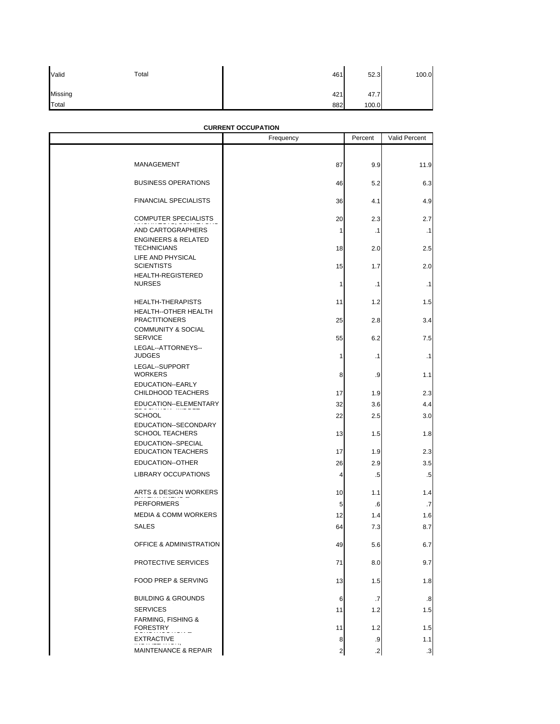| Valid   | Total | 461 | 52.3  | 100.0 |
|---------|-------|-----|-------|-------|
| Missing |       | 421 | 47.7  |       |
| Total   |       | 882 | 100.0 |       |

## **CURRENT OCCUPATION**

|                                                      | Frequency      | Percent    | Valid Percent |
|------------------------------------------------------|----------------|------------|---------------|
|                                                      |                |            |               |
| MANAGEMENT                                           | 87             | 9.9        | 11.9          |
| <b>BUSINESS OPERATIONS</b>                           | 46             | 5.2        | 6.3           |
| <b>FINANCIAL SPECIALISTS</b>                         | 36             | 4.1        | 4.9           |
| <b>COMPUTER SPECIALISTS</b>                          | 20             | 2.3        | 2.7           |
| AND CARTOGRAPHERS                                    | 1              | $\cdot$ 1  | $\cdot$ 1     |
| <b>ENGINEERS &amp; RELATED</b><br><b>TECHNICIANS</b> | 18             | 2.0        | 2.5           |
| LIFE AND PHYSICAL<br><b>SCIENTISTS</b>               | 15             | 1.7        | 2.0           |
| HEALTH-REGISTERED<br><b>NURSES</b>                   | $\mathbf{1}$   | .1         | $\cdot$ 1     |
| <b>HEALTH-THERAPISTS</b>                             | 11             | 1.2        | 1.5           |
| HEALTH--OTHER HEALTH<br><b>PRACTITIONERS</b>         | 25             | 2.8        | 3.4           |
| <b>COMMUNITY &amp; SOCIAL</b><br><b>SERVICE</b>      | 55             | 6.2        | 7.5           |
| LEGAL--ATTORNEYS--<br><b>JUDGES</b>                  | 1              | .1         | $\cdot$ 1     |
| LEGAL--SUPPORT<br><b>WORKERS</b>                     | 8              | .9         | 1.1           |
| EDUCATION--EARLY<br>CHILDHOOD TEACHERS               | 17             | 1.9        | 2.3           |
| EDUCATION--ELEMENTARY<br><b>SCHOOL</b>               | 32<br>22       | 3.6<br>2.5 | 4.4<br>3.0    |
| EDUCATION--SECONDARY<br><b>SCHOOL TEACHERS</b>       | 13             | 1.5        | 1.8           |
| EDUCATION--SPECIAL<br><b>EDUCATION TEACHERS</b>      | 17             | 1.9        | 2.3           |
| EDUCATION--OTHER                                     | 26             | 2.9        | 3.5           |
| <b>LIBRARY OCCUPATIONS</b>                           | 4              | .5         | $.5\,$        |
| ARTS & DESIGN WORKERS                                | 10             | 1.1        | 1.4           |
| <b>PERFORMERS</b>                                    | 5              | .6         | .7            |
| <b>MEDIA &amp; COMM WORKERS</b><br><b>SALES</b>      | 12<br>64       | 1.4<br>7.3 | 1.6<br>8.7    |
| OFFICE & ADMINISTRATION                              | 49             | 5.6        | 6.7           |
| PROTECTIVE SERVICES                                  | 71             | 8.0        | 9.7           |
| FOOD PREP & SERVING                                  | 13             | 1.5        | 1.8           |
| <b>BUILDING &amp; GROUNDS</b>                        | 6              | .7         | .8            |
| <b>SERVICES</b><br><b>FARMING, FISHING &amp;</b>     | 11             | 1.2        | 1.5           |
| <b>FORESTRY</b>                                      | 11             | 1.2        | 1.5           |
| <b>EXTRACTIVE</b>                                    | 8              | $\cdot 9$  | 1.1           |
| <b>MAINTENANCE &amp; REPAIR</b>                      | $\overline{c}$ | $\cdot$    | $\cdot$ 3     |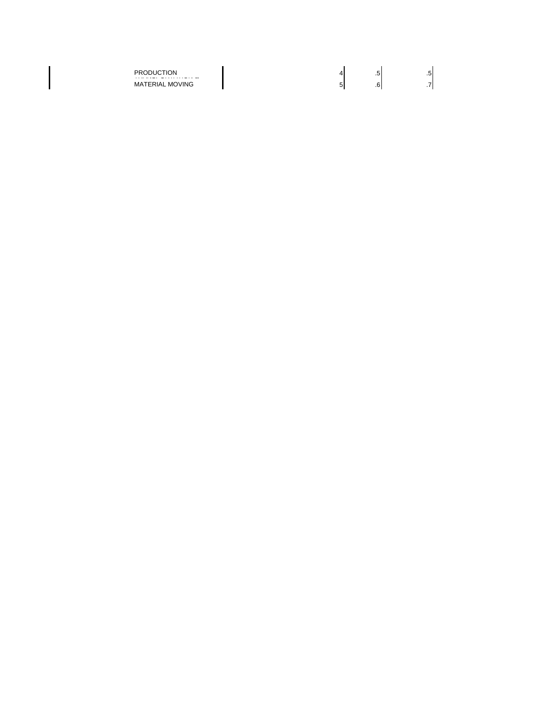$\mathsf{l}$ 

PRODUCTION  $\begin{bmatrix} 4 & 5 \end{bmatrix}$  .5 MATERIAL MOVING  $\begin{bmatrix} 5 & 6 \end{bmatrix}$  .7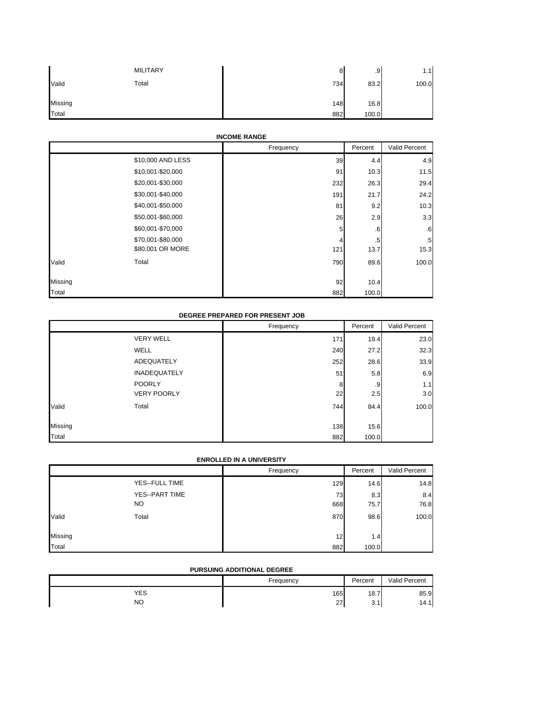|         | <b>MILITARY</b> | 8   | .9    | 1.1   |
|---------|-----------------|-----|-------|-------|
| Valid   | Total           | 734 | 83.2  | 100.0 |
| Missing |                 | 148 | 16.8  |       |
| Total   |                 | 882 | 100.0 |       |

## **INCOME RANGE**

|                   | Frequency | Percent | Valid Percent |
|-------------------|-----------|---------|---------------|
| \$10,000 AND LESS | 39        | 4.4     | 4.9           |
| \$10,001-\$20,000 | 91        | 10.3    | 11.5          |
| \$20,001-\$30,000 | 232       | 26.3    | 29.4          |
| \$30,001-\$40,000 | 191       | 21.7    | 24.2          |
| \$40,001-\$50,000 | 81        | 9.2     | 10.3          |
| \$50,001-\$60,000 | 26        | 2.9     | 3.3           |
| \$60,001-\$70,000 | 5         | $6 \,$  | .6            |
| \$70,001-\$80,000 | 4         | .5      | $.5\,$        |
| \$80,001 OR MORE  | 121       | 13.7    | 15.3          |
| Total<br>Valid    | 790       | 89.6    | 100.0         |
| Missing           | 92        | 10.4    |               |
| Total             | 882       | 100.0   |               |

### **DEGREE PREPARED FOR PRESENT JOB**

|         |                     | Frequency | Percent | Valid Percent |
|---------|---------------------|-----------|---------|---------------|
|         | <b>VERY WELL</b>    | 171       | 19.4    | 23.0          |
|         | <b>WELL</b>         | 240       | 27.2    | 32.3          |
|         | ADEQUATELY          | 252       | 28.6    | 33.9          |
|         | <b>INADEQUATELY</b> | 51        | 5.8     | 6.9           |
|         | <b>POORLY</b>       | 8         | .9      | 1.1           |
|         | <b>VERY POORLY</b>  | 22        | 2.5     | 3.0           |
| Valid   | Total               | 744       | 84.4    | 100.0         |
| Missing |                     | 138       | 15.6    |               |
| Total   |                     | 882       | 100.0   |               |

### **ENROLLED IN A UNIVERSITY**

|              |                | Frequency | Percent | Valid Percent |
|--------------|----------------|-----------|---------|---------------|
|              | YES--FULL TIME | 129       | 14.6    | 14.8          |
|              | YES--PART TIME | 73        | 8.3     | 8.4           |
|              | NO             | 668       | 75.7    | 76.8          |
| Valid        | Total          | 870       | 98.6    | 100.0         |
|              |                |           |         |               |
| Missing      |                | 12        | 1.4     |               |
| <b>Total</b> |                | 882       | 100.0   |               |

### **PURSUING ADDITIONAL DEGREE**

|     | Frequency | Percent         | Valid Percent |
|-----|-----------|-----------------|---------------|
| YES | 165       | 18.7            | 85.9          |
| NO  | 27        | $\sim$<br>ا . ت | 14.1          |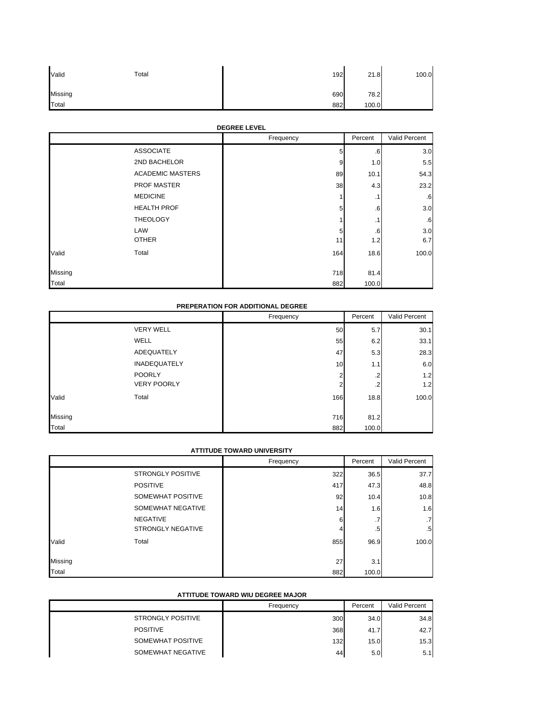| Valid   | Total | 192 | 21.8  | 100.0 |
|---------|-------|-----|-------|-------|
| Missing |       | 690 | 78.2  |       |
| Total   |       | 882 | 100.0 |       |

## **DEGREE LEVEL**

|         |                         | Frequency | Percent   | Valid Percent   |
|---------|-------------------------|-----------|-----------|-----------------|
|         | <b>ASSOCIATE</b>        | 5         | .6        | 3.0             |
|         | 2ND BACHELOR            | 9         | 1.0       | 5.5             |
|         | <b>ACADEMIC MASTERS</b> | 89        | 10.1      | 54.3            |
|         | PROF MASTER             | 38        | 4.3       | 23.2            |
|         | <b>MEDICINE</b>         |           | $\cdot$ 1 | $.6\phantom{0}$ |
|         | <b>HEALTH PROF</b>      | 5         | .6        | 3.0             |
|         | <b>THEOLOGY</b>         |           | $\cdot$ 1 | .6              |
|         | LAW                     | 5         | .6        | 3.0             |
|         | <b>OTHER</b>            | 11        | 1.2       | 6.7             |
| Valid   | Total                   | 164       | 18.6      | 100.0           |
| Missing |                         | 718       | 81.4      |                 |
| Total   |                         | 882       | 100.0     |                 |

## **PREPERATION FOR ADDITIONAL DEGREE**

|         |                     | Frequency | Percent | Valid Percent |
|---------|---------------------|-----------|---------|---------------|
|         | <b>VERY WELL</b>    | 50        | 5.7     | 30.1          |
|         | <b>WELL</b>         | 55        | 6.2     | 33.1          |
|         | ADEQUATELY          | 47        | 5.3     | 28.3          |
|         | <b>INADEQUATELY</b> | 10        | 1.1     | 6.0           |
|         | <b>POORLY</b>       | ◠         | $\cdot$ | 1.2           |
|         | <b>VERY POORLY</b>  | ◠         | $\cdot$ | 1.2           |
| Valid   | Total               | 166       | 18.8    | 100.0         |
| Missing |                     | 716       | 81.2    |               |
| Total   |                     | 882       | 100.0   |               |

### **ATTITUDE TOWARD UNIVERSITY**

|         | AT ITIUDE TUWARD UNIVERSITY |           |         |                 |
|---------|-----------------------------|-----------|---------|-----------------|
|         |                             | Frequency | Percent | Valid Percent   |
|         | <b>STRONGLY POSITIVE</b>    | 322       | 36.5    | 37.7            |
|         | <b>POSITIVE</b>             | 417       | 47.3    | 48.8            |
|         | SOMEWHAT POSITIVE           | 92        | 10.4    | 10.8            |
|         | SOMEWHAT NEGATIVE           | 14        | 1.6     | 1.6             |
|         | <b>NEGATIVE</b>             | 6         | .7      | $\cdot$ 7       |
|         | <b>STRONGLY NEGATIVE</b>    |           | .5      | .5 <sub>l</sub> |
| Valid   | Total                       | 855       | 96.9    | 100.0           |
| Missing |                             | 27        | 3.1     |                 |
| Total   |                             | 882       | 100.0   |                 |

### **ATTITUDE TOWARD WIU DEGREE MAJOR**

|                          | Frequency | Percent | Valid Percent |
|--------------------------|-----------|---------|---------------|
| <b>STRONGLY POSITIVE</b> | 300       | 34.0    | 34.8          |
| <b>POSITIVE</b>          | 368       | 41.7    | 42.7          |
| SOMEWHAT POSITIVE        | 132       | 15.0    | 15.3          |
| SOMEWHAT NEGATIVE        | 44        | 5.0     | 5.1           |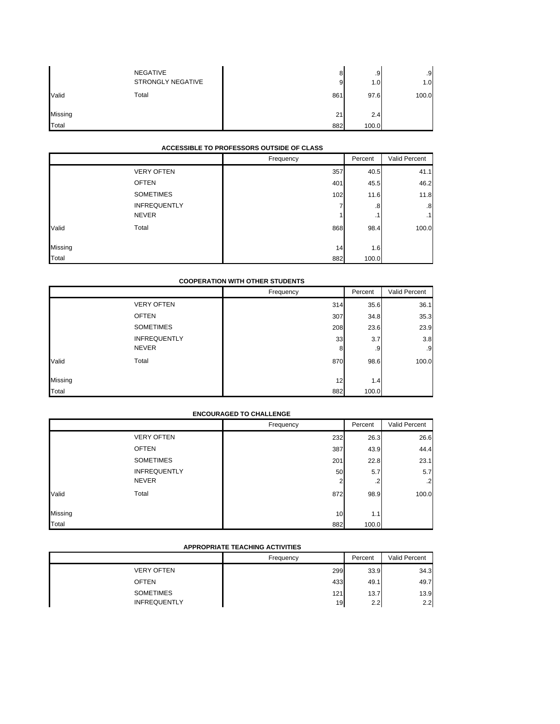|         | <b>NEGATIVE</b><br>STRONGLY NEGATIVE | 8<br>9 | .9<br>1.01 | 9<br>1.0 |
|---------|--------------------------------------|--------|------------|----------|
| Valid   | Total                                | 861    | 97.6       | 100.0    |
| Missing |                                      | 21     | 2.4        |          |
| Total   |                                      | 882    | 100.0      |          |

### **ACCESSIBLE TO PROFESSORS OUTSIDE OF CLASS**

|         | ACCESSIBLE TO FROFESSORS OUTSIDE OF CLASS |           |          |                 |
|---------|-------------------------------------------|-----------|----------|-----------------|
|         |                                           | Frequency | Percent  | Valid Percent   |
|         | <b>VERY OFTEN</b>                         | 357       | 40.5     | 41.1            |
|         | <b>OFTEN</b>                              | 401       | 45.5     | 46.2            |
|         | <b>SOMETIMES</b>                          | 102       | 11.6     | 11.8            |
|         | <b>INFREQUENTLY</b><br><b>NEVER</b>       |           | .8<br>.1 | .8<br>$\cdot$ 1 |
| Valid   | Total                                     | 868       | 98.4     | 100.0           |
| Missing |                                           | 14        | 1.6      |                 |
| Total   |                                           | 882       | 100.0    |                 |

### **COOPERATION WITH OTHER STUDENTS**

|         |                     | Frequency | Percent | Valid Percent |
|---------|---------------------|-----------|---------|---------------|
|         | <b>VERY OFTEN</b>   | 314       | 35.6    | 36.1          |
|         | <b>OFTEN</b>        | 307       | 34.8    | 35.3          |
|         | <b>SOMETIMES</b>    | 208       | 23.6    | 23.9          |
|         | <b>INFREQUENTLY</b> | 33        | 3.7     | 3.8           |
|         | <b>NEVER</b>        | 8         | .9      | .9            |
| Valid   | Total               | 870       | 98.6    | 100.0         |
| Missing |                     | 12        | 1.4     |               |
| Total   |                     | 882       | 100.0   |               |

### **ENCOURAGED TO CHALLENGE**

|         |                     | Frequency | Percent | Valid Percent |
|---------|---------------------|-----------|---------|---------------|
|         | <b>VERY OFTEN</b>   | 232       | 26.3    | 26.6          |
|         | <b>OFTEN</b>        | 387       | 43.9    | 44.4          |
|         | <b>SOMETIMES</b>    | 201       | 22.8    | 23.1          |
|         | <b>INFREQUENTLY</b> | 50        | 5.7     | 5.7           |
|         | <b>NEVER</b>        | 2         | .2      | $\cdot$ 2     |
| Valid   | Total               | 872       | 98.9    | 100.0         |
|         |                     |           |         |               |
| Missing |                     | 10        | 1.1     |               |
| Total   |                     | 882       | 100.0   |               |

## **APPROPRIATE TEACHING ACTIVITIES**

|                     | Frequency | Percent | Valid Percent |
|---------------------|-----------|---------|---------------|
| <b>VERY OFTEN</b>   | 299       | 33.9    | 34.3          |
| <b>OFTEN</b>        | 433       | 49.1    | 49.7          |
| <b>SOMETIMES</b>    | 121       | 13.7    | 13.9          |
| <b>INFREQUENTLY</b> | 19        | 2.2     | 2.2           |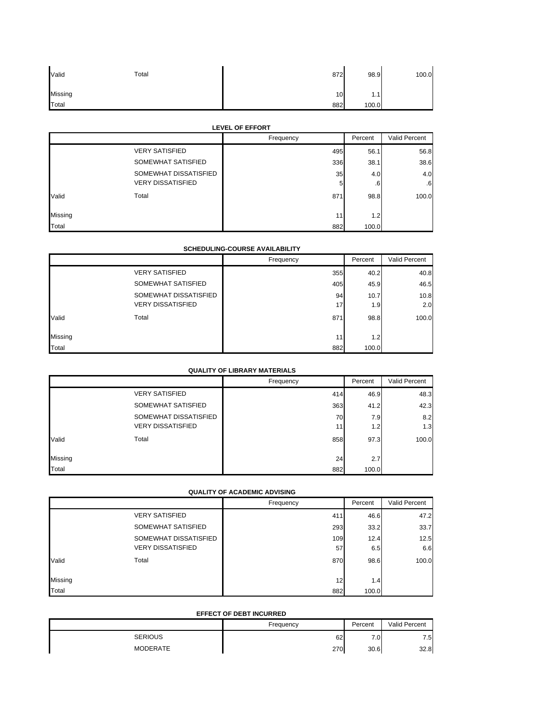| Valid   | Total | 872 | 98.9  | 100.0 |
|---------|-------|-----|-------|-------|
| Missing |       | 10  | 1.1   |       |
| Total   |       | 882 | 100.0 |       |

### **LEVEL OF EFFORT**

|         |                          | Frequency | Percent | Valid Percent |
|---------|--------------------------|-----------|---------|---------------|
|         | <b>VERY SATISFIED</b>    | 495       | 56.1    | 56.8          |
|         | SOMEWHAT SATISFIED       | 336       | 38.1    | 38.6          |
|         | SOMEWHAT DISSATISFIED    | 35        | 4.0     | 4.0           |
|         | <b>VERY DISSATISFIED</b> | 5         | .6      | -6            |
| Valid   | Total                    | 871       | 98.8    | 100.0         |
| Missing |                          | 11        | 1.2     |               |
| Total   |                          | 882       | 100.0   |               |

### **SCHEDULING-COURSE AVAILABILITY**

|         |                          | Frequency | Percent | Valid Percent |
|---------|--------------------------|-----------|---------|---------------|
|         | <b>VERY SATISFIED</b>    | 355       | 40.2    | 40.8          |
|         | SOMEWHAT SATISFIED       | 405       | 45.9    | 46.5          |
|         | SOMEWHAT DISSATISFIED    | 94        | 10.7    | 10.8          |
|         | <b>VERY DISSATISFIED</b> | 17        | 1.9     | 2.0           |
| Valid   | Total                    | 871       | 98.8    | 100.0         |
| Missing |                          | 11        | 1.2     |               |
| Total   |                          | 882       | 100.0   |               |

### **QUALITY OF LIBRARY MATERIALS**

|         |                          | Frequency | Percent | Valid Percent |
|---------|--------------------------|-----------|---------|---------------|
|         | <b>VERY SATISFIED</b>    | 414       | 46.9    | 48.3          |
|         | SOMEWHAT SATISFIED       | 363       | 41.2    | 42.3          |
|         | SOMEWHAT DISSATISFIED    | 70        | 7.9     | 8.2           |
|         | <b>VERY DISSATISFIED</b> | 11        | 1.2     | 1.3           |
| Valid   | Total                    | 858       | 97.3    | 100.0         |
| Missing |                          | 24        | 2.7     |               |
|         |                          |           |         |               |
| Total   |                          | 882       | 100.0   |               |

## **QUALITY OF ACADEMIC ADVISING**

|         |                          | Frequency | Percent | Valid Percent |
|---------|--------------------------|-----------|---------|---------------|
|         | <b>VERY SATISFIED</b>    | 411       | 46.6    | 47.2          |
|         | SOMEWHAT SATISFIED       | 293       | 33.2    | 33.7          |
|         | SOMEWHAT DISSATISFIED    | 109       | 12.4    | 12.5          |
|         | <b>VERY DISSATISFIED</b> | 57        | 6.5     | 6.6           |
| Valid   | Total                    | 870       | 98.6    | 100.0         |
| Missing |                          | 12        | 1.4     |               |
| Total   |                          | 882       | 100.0   |               |

### **EFFECT OF DEBT INCURRED**

|                 | Frequency | Percent  | Valid Percent |
|-----------------|-----------|----------|---------------|
| <b>SERIOUS</b>  | 62        | -<br>7.0 | 7.5           |
| <b>MODERATE</b> | 270       | 30.6     | 32.8          |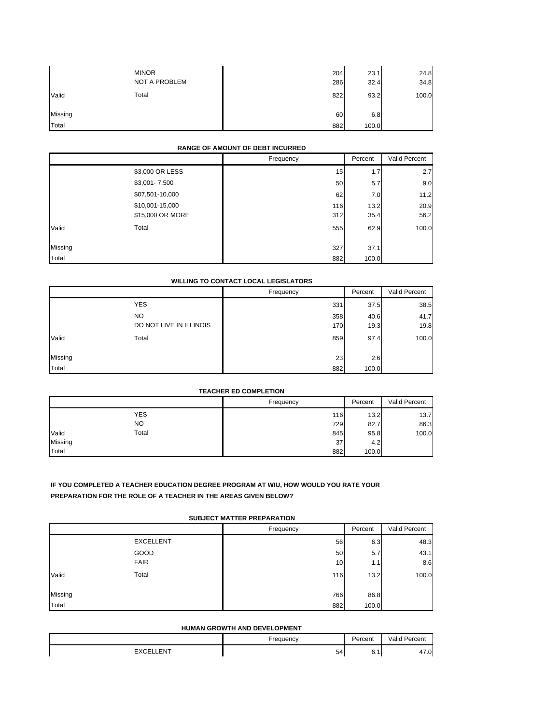|         | <b>MINOR</b><br>NOT A PROBLEM | 204<br>286 | 23.1<br>32.4 | 24.8<br>34.8 |
|---------|-------------------------------|------------|--------------|--------------|
| Valid   | Total                         | 822        | 93.2         | 100.0        |
| Missing |                               | 60         | 6.8          |              |
| Total   |                               | 882        | 100.0        |              |

## **RANGE OF AMOUNT OF DEBT INCURRED**

|         |                  | Frequency | Percent | Valid Percent |
|---------|------------------|-----------|---------|---------------|
|         | \$3,000 OR LESS  | 15        | 1.7     | 2.7           |
|         | \$3,001-7,500    | 50        | 5.7     | 9.0           |
|         | \$07,501-10,000  | 62        | 7.0     | 11.2          |
|         | \$10,001-15,000  | 116       | 13.2    | 20.9          |
|         | \$15,000 OR MORE | 312       | 35.4    | 56.2          |
| Valid   | Total            | 555       | 62.9    | 100.0         |
| Missing |                  | 327       | 37.1    |               |
| Total   |                  | 882       | 100.0   |               |

### **WILLING TO CONTACT LOCAL LEGISLATORS**

|         |                         | Frequency | Percent | Valid Percent |
|---------|-------------------------|-----------|---------|---------------|
|         | <b>YES</b>              | 331       | 37.5    | 38.5          |
|         | <b>NO</b>               | 358       | 40.6    | 41.7          |
|         | DO NOT LIVE IN ILLINOIS | 170       | 19.3    | 19.8          |
| Valid   | Total                   | 859       | 97.4    | 100.0         |
| Missing |                         | 23        | 2.6     |               |
| Total   |                         | 882       | 100.0   |               |

#### **TEACHER ED COMPLETION**

|         |            | Frequency | Percent | Valid Percent |
|---------|------------|-----------|---------|---------------|
|         | <b>YES</b> | 116       | 13.2    | 13.7          |
|         | <b>NO</b>  | 729       | 82.7    | 86.3          |
| Valid   | Total      | 845       | 95.8    | 100.0         |
| Missing |            | 37        | 4.2     |               |
| Total   |            | 882       | 100.0   |               |

## **IF YOU COMPLETED A TEACHER EDUCATION DEGREE PROGRAM AT WIU, HOW WOULD YOU RATE YOUR PREPARATION FOR THE ROLE OF A TEACHER IN THE AREAS GIVEN BELOW?**

### **SUBJECT MATTER PREPARATION**

|         |                  | Frequency       | Percent | Valid Percent |
|---------|------------------|-----------------|---------|---------------|
|         | <b>EXCELLENT</b> | 56              | 6.3     | 48.3          |
|         | GOOD             | 50              | 5.7     | 43.1          |
|         | <b>FAIR</b>      | 10 <sub>1</sub> | 1.1     | 8.6           |
| Valid   | Total            | 116             | 13.2    | 100.0         |
| Missing |                  | 766             | 86.8    |               |
| Total   |                  | 882             | 100.0   |               |

#### **HUMAN GROWTH AND DEVELOPMENT**

|      | Frequency | Percent | Valid<br>' Percent |
|------|-----------|---------|--------------------|
| .ENT | 54        | -<br>◡. | 47.0               |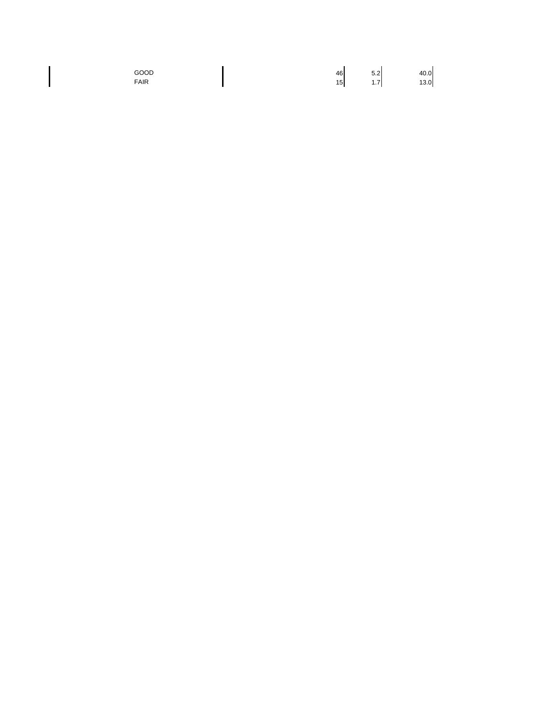$\begin{array}{c} \hline \end{array}$ 

GOOD 40.0 FAIR 13.0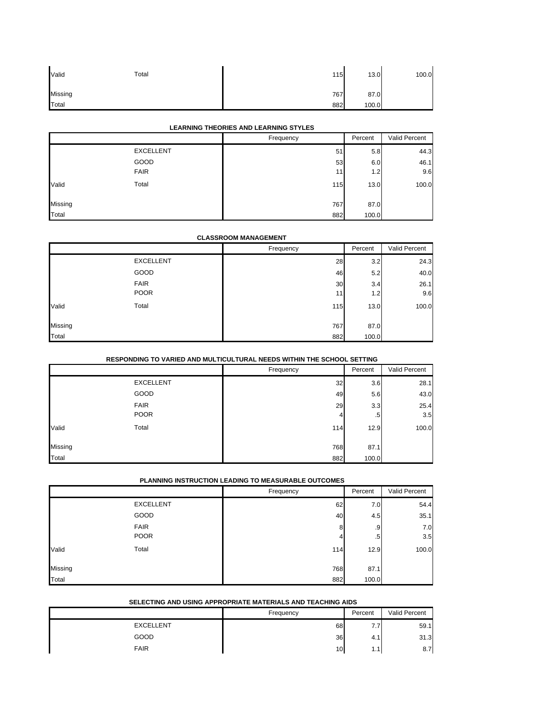| Valid   | Total | 115 | 13.0  | 100.0 |
|---------|-------|-----|-------|-------|
| Missing |       | 767 | 87.0  |       |
| Total   |       | 882 | 100.0 |       |

### **LEARNING THEORIES AND LEARNING STYLES**

|         |                  | Frequency | Percent | Valid Percent |
|---------|------------------|-----------|---------|---------------|
|         | <b>EXCELLENT</b> | 51        | 5.8     | 44.3          |
|         | GOOD             | 53        | 6.0     | 46.1          |
|         | <b>FAIR</b>      | 11        | 1.2     | 9.6           |
| Valid   | Total            | 115       | 13.0    | 100.0         |
| Missing |                  | 767       | 87.0    |               |
| Total   |                  | 882       | 100.0   |               |

### **CLASSROOM MANAGEMENT**

|         |                  | Frequency | Percent | Valid Percent |
|---------|------------------|-----------|---------|---------------|
|         | <b>EXCELLENT</b> | 28        | 3.2     | 24.3          |
|         | GOOD             | 46        | 5.2     | 40.0          |
|         | <b>FAIR</b>      | 30        | 3.4     | 26.1          |
|         | <b>POOR</b>      | 11        | 1.2     | 9.6           |
| Valid   | Total            | 115       | 13.0    | 100.0         |
|         |                  |           |         |               |
| Missing |                  | 767       | 87.0    |               |
| Total   |                  | 882       | 100.0   |               |

## **RESPONDING TO VARIED AND MULTICULTURAL NEEDS WITHIN THE SCHOOL SETTING**

|         |                  | Frequency | Percent | Valid Percent |
|---------|------------------|-----------|---------|---------------|
|         | <b>EXCELLENT</b> | 32        | 3.6     | 28.1          |
|         | GOOD             | 49        | 5.6     | 43.0          |
|         | <b>FAIR</b>      | 29        | 3.3     | 25.4          |
|         | <b>POOR</b>      | 4         | .5      | 3.5           |
| Valid   | Total            | 114       | 12.9    | 100.0         |
|         |                  |           |         |               |
| Missing |                  | 768       | 87.1    |               |
| Total   |                  | 882       | 100.0   |               |

### **PLANNING INSTRUCTION LEADING TO MEASURABLE OUTCOMES**

|         |                  | Frequency | Percent | Valid Percent |
|---------|------------------|-----------|---------|---------------|
|         | <b>EXCELLENT</b> | 62        | 7.0     | 54.4          |
|         | GOOD             | 40        | 4.5     | 35.1          |
|         | <b>FAIR</b>      | 8         | .9      | 7.0           |
|         | <b>POOR</b>      |           | .5      | 3.5           |
| Valid   | Total            | 114       | 12.9    | 100.0         |
| Missing |                  | 768       | 87.1    |               |
| Total   |                  | 882       | 100.0   |               |

### **SELECTING AND USING APPROPRIATE MATERIALS AND TEACHING AIDS**

|                  | Frequency | Percent | Valid Percent |
|------------------|-----------|---------|---------------|
| <b>EXCELLENT</b> | 68        | .       | 59.1          |
| GOOD             | 36        | т.      | 31.3          |
| <b>FAIR</b>      | 10        | .       | 8.7           |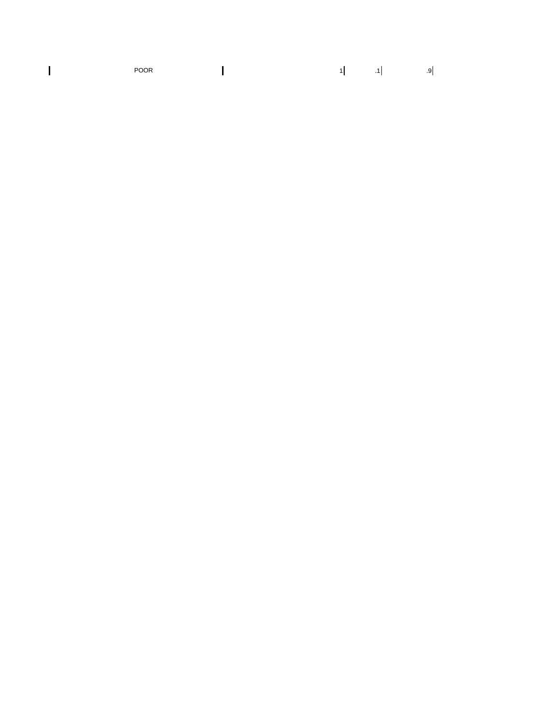POOR  $\begin{bmatrix} 1 & 1 & 1 & 1 \end{bmatrix}$  .9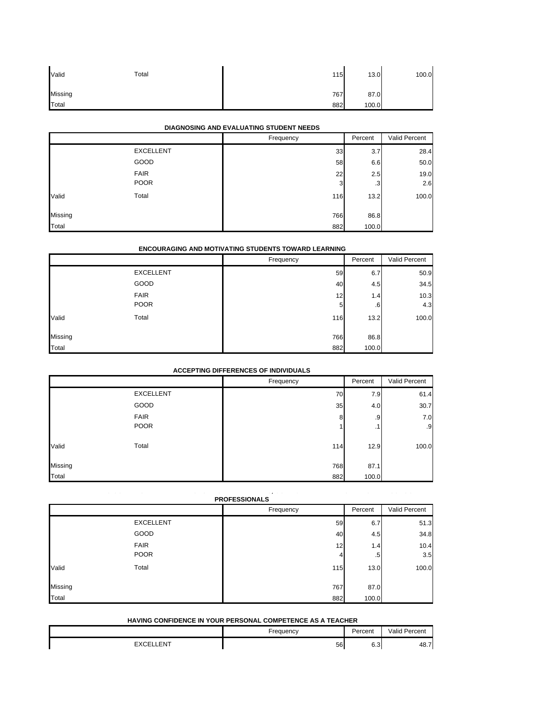| Valid   | Total | 115 | 13.0  | 100.0 |
|---------|-------|-----|-------|-------|
| Missing |       | 767 | 87.0  |       |
| Total   |       | 882 | 100.0 |       |

### **DIAGNOSING AND EVALUATING STUDENT NEEDS**

|         |                  | Frequency | Percent | Valid Percent |
|---------|------------------|-----------|---------|---------------|
|         | <b>EXCELLENT</b> | 33        | 3.7     | 28.4          |
|         | GOOD             | 58        | 6.6     | 50.0          |
|         | <b>FAIR</b>      | 22        | 2.5     | 19.0          |
|         | <b>POOR</b>      | 3         | .3      | 2.6           |
| Valid   | Total            | 116       | 13.2    | 100.0         |
| Missing |                  | 766       | 86.8    |               |
| Total   |                  | 882       | 100.0   |               |

#### **ENCOURAGING AND MOTIVATING STUDENTS TOWARD LEARNING**

|         |                  | Frequency       | Percent | Valid Percent |
|---------|------------------|-----------------|---------|---------------|
|         | <b>EXCELLENT</b> | 59              | 6.7     | 50.9          |
|         | GOOD             | 40              | 4.5     | 34.5          |
|         | <b>FAIR</b>      | 12 <sub>1</sub> | 1.4     | 10.3          |
|         | <b>POOR</b>      | 5               | .6      | 4.3           |
| Valid   | Total            | 116             | 13.2    | 100.0         |
| Missing |                  | 766             | 86.8    |               |
| Total   |                  | 882             | 100.0   |               |

### **ACCEPTING DIFFERENCES OF INDIVIDUALS**

|         |                  | Frequency | Percent | Valid Percent |
|---------|------------------|-----------|---------|---------------|
|         | <b>EXCELLENT</b> | 70        | 7.9     | 61.4          |
|         | GOOD             | 35        | 4.0     | 30.7          |
|         | <b>FAIR</b>      | 8         | .9      | 7.0           |
|         | <b>POOR</b>      |           | .1      | .9            |
| Valid   | Total            | 114       | 12.9    | 100.0         |
| Missing |                  | 768       | 87.1    |               |
| Total   |                  | 882       | 100.0   |               |

## **G CO O O S S S, CO U S O SC OO PROFESSIONALS**

|         |                  | Frequency | Percent      | Valid Percent |
|---------|------------------|-----------|--------------|---------------|
|         | <b>EXCELLENT</b> | 59        | 6.7          | 51.3          |
|         | GOOD             | 40        | 4.5          | 34.8          |
|         | <b>FAIR</b>      | 12        | 1.4          | 10.4          |
|         | <b>POOR</b>      | 4         | $.5^{\circ}$ | 3.5           |
| Valid   | Total            | 115       | 13.0         | 100.0         |
| Missing |                  | 767       | 87.0         |               |
| Total   |                  | 882       | 100.0        |               |

#### **HAVING CONFIDENCE IN YOUR PERSONAL COMPETENCE AS A TEACHER**

|                 | -reauencv | Percent              | /alid<br>Percent |
|-----------------|-----------|----------------------|------------------|
| <b>FNT</b><br>- | 56        | $\sim$ $\sim$<br>∪.∪ | 48.7             |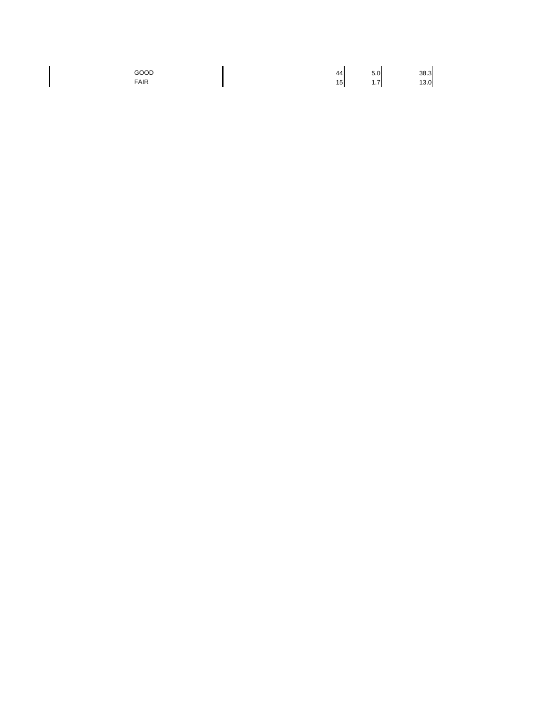$\begin{array}{c} \hline \end{array}$ 

GOOD 44 5.0 38.3 FAIR 13.0